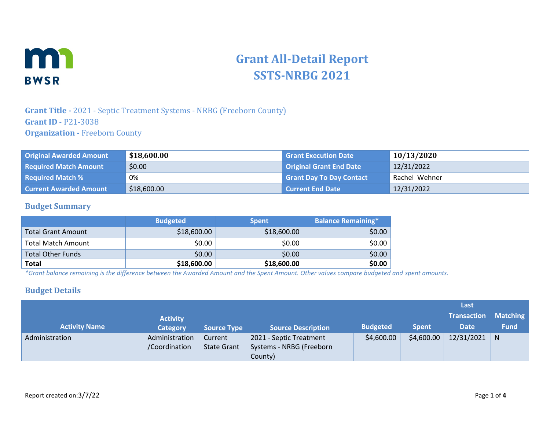

# **Grant All-Detail Report SSTS-NRBG 2021**

#### **Grant Title -** 2021 - Septic Treatment Systems - NRBG (Freeborn County) **Grant ID** - P21-3038 **Organization -** Freeborn County

| <b>Original Awarded Amount</b> | \$18,600.00 | <b>Grant Execution Date</b>     | 10/13/2020    |
|--------------------------------|-------------|---------------------------------|---------------|
| <b>Required Match Amount</b>   | \$0.00      | <b>Original Grant End Date</b>  | 12/31/2022    |
| <b>Required Match %</b>        | 0%          | <b>Grant Day To Day Contact</b> | Rachel Wehner |
| <b>Current Awarded Amount</b>  | \$18,600.00 | <b>Current End Date</b>         | 12/31/2022    |

#### **Budget Summary**

|                           | <b>Budgeted</b> | <b>Spent</b> | <b>Balance Remaining*</b> |
|---------------------------|-----------------|--------------|---------------------------|
| <b>Total Grant Amount</b> | \$18,600.00     | \$18,600.00  | \$0.00                    |
| <b>Total Match Amount</b> | \$0.00          | \$0.00       | \$0.00                    |
| <b>Total Other Funds</b>  | \$0.00          | \$0.00       | \$0.00                    |
| <b>Total</b>              | \$18,600.00     | \$18,600.00  | \$0.00                    |

*\*Grant balance remaining is the difference between the Awarded Amount and the Spent Amount. Other values compare budgeted and spent amounts.*

#### **Budget Details**

|                      |                 |                    |                           |                 |              | Last               |                 |
|----------------------|-----------------|--------------------|---------------------------|-----------------|--------------|--------------------|-----------------|
|                      | <b>Activity</b> |                    |                           |                 |              | <b>Transaction</b> | <b>Matching</b> |
| <b>Activity Name</b> | <b>Category</b> | <b>Source Type</b> | <b>Source Description</b> | <b>Budgeted</b> | <b>Spent</b> | <b>Date</b>        | <b>Fund</b>     |
| Administration       | Administration  | Current            | 2021 - Septic Treatment   | \$4,600.00      | \$4,600.00   | 12/31/2021         | $\mid N$        |
|                      | /Coordination   | <b>State Grant</b> | Systems - NRBG (Freeborn  |                 |              |                    |                 |
|                      |                 |                    | County)                   |                 |              |                    |                 |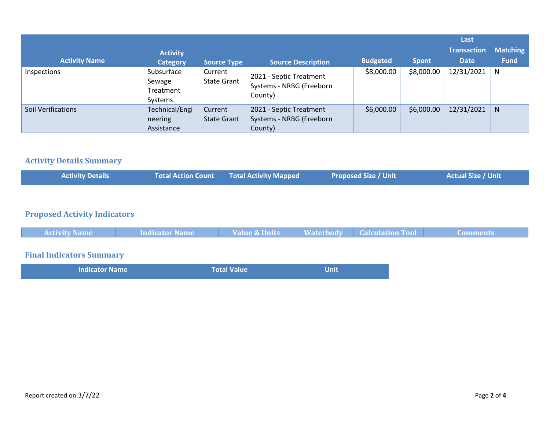| <b>Activity Name</b>      | <b>Activity</b><br><b>Category</b>           | <b>Source Type</b>            | <b>Source Description</b>                                      | <b>Budgeted</b> | <b>Spent</b> | Last<br><b>Transaction</b><br><b>Date</b> | <b>Matching</b><br><b>Fund</b> |
|---------------------------|----------------------------------------------|-------------------------------|----------------------------------------------------------------|-----------------|--------------|-------------------------------------------|--------------------------------|
| Inspections               | Subsurface<br>Sewage<br>Treatment<br>Systems | Current<br><b>State Grant</b> | 2021 - Septic Treatment<br>Systems - NRBG (Freeborn<br>County) | \$8,000.00      | \$8,000.00   | 12/31/2021                                | N                              |
| <b>Soil Verifications</b> | Technical/Engi<br>neering<br>Assistance      | Current<br><b>State Grant</b> | 2021 - Septic Treatment<br>Systems - NRBG (Freeborn<br>County) | \$6,000.00      | \$6,000.00   | 12/31/2021                                | N.                             |

#### **Activity Details Summary**

| <b>Activity Details</b> | <b>Total Action Count Total Activity Mapped</b> | <b>Proposed Size / Unit</b> | <b>Actual Size / Unit</b> |
|-------------------------|-------------------------------------------------|-----------------------------|---------------------------|
|                         |                                                 |                             |                           |

# **Proposed Activity Indicators**

| <b>Activity Name</b> | <b>Indicator Name</b> | Value & Units | <b>Naterbody Calculation Tool</b> | <b>Comments</b> |
|----------------------|-----------------------|---------------|-----------------------------------|-----------------|
|                      |                       |               |                                   |                 |

## **Final Indicators Summary**

| <b>Indicator Name</b> | <b>Total Value</b> | <b>Unit</b> |
|-----------------------|--------------------|-------------|
|                       |                    |             |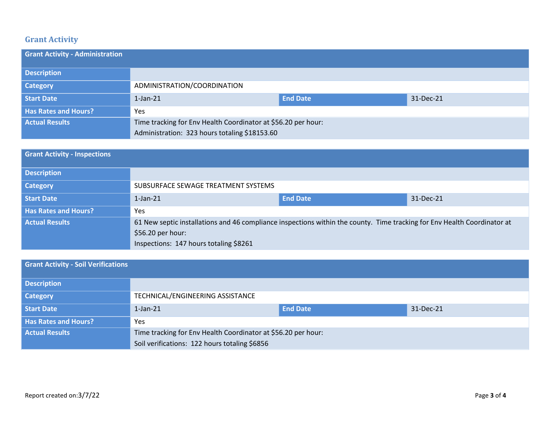## **Grant Activity**

| <b>Grant Activity - Administration</b> |                                                               |                 |           |
|----------------------------------------|---------------------------------------------------------------|-----------------|-----------|
| <b>Description</b>                     |                                                               |                 |           |
| Category                               | ADMINISTRATION/COORDINATION                                   |                 |           |
| <b>Start Date</b>                      | $1$ -Jan- $21$                                                | <b>End Date</b> | 31-Dec-21 |
| <b>Has Rates and Hours?</b>            | Yes                                                           |                 |           |
| <b>Actual Results</b>                  | Time tracking for Env Health Coordinator at \$56.20 per hour: |                 |           |
|                                        | Administration: 323 hours totaling \$18153.60                 |                 |           |

| <b>Grant Activity - Inspections</b> |                                                                                                                                                |                 |           |
|-------------------------------------|------------------------------------------------------------------------------------------------------------------------------------------------|-----------------|-----------|
| <b>Description</b>                  |                                                                                                                                                |                 |           |
| <b>Category</b>                     | SUBSURFACE SEWAGE TREATMENT SYSTEMS                                                                                                            |                 |           |
| <b>Start Date</b>                   | $1$ -Jan- $21$                                                                                                                                 | <b>End Date</b> | 31-Dec-21 |
| <b>Has Rates and Hours?</b>         | <b>Yes</b>                                                                                                                                     |                 |           |
| <b>Actual Results</b>               | 61 New septic installations and 46 compliance inspections within the county. Time tracking for Env Health Coordinator at<br>$$56.20$ per hour: |                 |           |
|                                     | Inspections: 147 hours totaling \$8261                                                                                                         |                 |           |

| <b>Grant Activity - Soil Verifications</b> |                                                               |                 |           |
|--------------------------------------------|---------------------------------------------------------------|-----------------|-----------|
| <b>Description</b>                         |                                                               |                 |           |
| <b>Category</b>                            | TECHNICAL/ENGINEERING ASSISTANCE                              |                 |           |
| Start Date                                 | $1$ -Jan- $21$                                                | <b>End Date</b> | 31-Dec-21 |
| <b>Has Rates and Hours?</b>                | Yes                                                           |                 |           |
| <b>Actual Results</b>                      | Time tracking for Env Health Coordinator at \$56.20 per hour: |                 |           |
|                                            | Soil verifications: 122 hours totaling \$6856                 |                 |           |